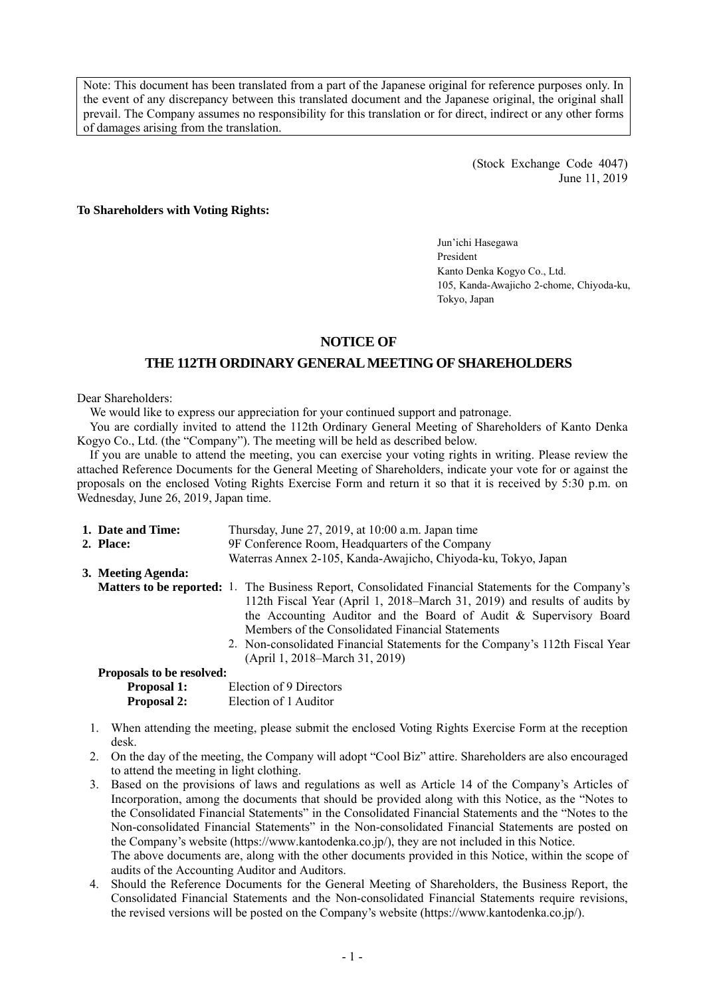Note: This document has been translated from a part of the Japanese original for reference purposes only. In the event of any discrepancy between this translated document and the Japanese original, the original shall prevail. The Company assumes no responsibility for this translation or for direct, indirect or any other forms of damages arising from the translation.

> (Stock Exchange Code 4047) June 11, 2019

### **To Shareholders with Voting Rights:**

Jun'ichi Hasegawa President Kanto Denka Kogyo Co., Ltd. 105, Kanda-Awajicho 2-chome, Chiyoda-ku, Tokyo, Japan

## **NOTICE OF**

## **THE 112TH ORDINARY GENERAL MEETING OF SHAREHOLDERS**

### Dear Shareholders:

We would like to express our appreciation for your continued support and patronage.

You are cordially invited to attend the 112th Ordinary General Meeting of Shareholders of Kanto Denka Kogyo Co., Ltd. (the "Company"). The meeting will be held as described below.

If you are unable to attend the meeting, you can exercise your voting rights in writing. Please review the attached Reference Documents for the General Meeting of Shareholders, indicate your vote for or against the proposals on the enclosed Voting Rights Exercise Form and return it so that it is received by 5:30 p.m. on Wednesday, June 26, 2019, Japan time.

| 1. Date and Time:         | Thursday, June $27$ , $2019$ , at $10:00$ a.m. Japan time                                                  |  |  |
|---------------------------|------------------------------------------------------------------------------------------------------------|--|--|
| 2. Place:                 | 9F Conference Room, Headquarters of the Company                                                            |  |  |
|                           | Waterras Annex 2-105, Kanda-Awajicho, Chiyoda-ku, Tokyo, Japan                                             |  |  |
| 3. Meeting Agenda:        |                                                                                                            |  |  |
|                           | <b>Matters to be reported:</b> 1. The Business Report, Consolidated Financial Statements for the Company's |  |  |
|                           | 112th Fiscal Year (April 1, 2018–March 31, 2019) and results of audits by                                  |  |  |
|                           | the Accounting Auditor and the Board of Audit & Supervisory Board                                          |  |  |
|                           | Members of the Consolidated Financial Statements                                                           |  |  |
|                           | 2. Non-consolidated Financial Statements for the Company's 112th Fiscal Year                               |  |  |
|                           | (April 1, 2018–March 31, 2019)                                                                             |  |  |
| Proposals to be resolved: |                                                                                                            |  |  |
| <b>Proposal 1:</b>        | Election of 9 Directors                                                                                    |  |  |
| <b>Proposal 2:</b>        | Election of 1 Auditor                                                                                      |  |  |

- 1. When attending the meeting, please submit the enclosed Voting Rights Exercise Form at the reception desk.
- 2. On the day of the meeting, the Company will adopt "Cool Biz" attire. Shareholders are also encouraged to attend the meeting in light clothing.
- 3. Based on the provisions of laws and regulations as well as Article 14 of the Company's Articles of Incorporation, among the documents that should be provided along with this Notice, as the "Notes to the Consolidated Financial Statements" in the Consolidated Financial Statements and the "Notes to the Non-consolidated Financial Statements" in the Non-consolidated Financial Statements are posted on the Company's website (https://www.kantodenka.co.jp/), they are not included in this Notice. The above documents are, along with the other documents provided in this Notice, within the scope of audits of the Accounting Auditor and Auditors.
- 4. Should the Reference Documents for the General Meeting of Shareholders, the Business Report, the Consolidated Financial Statements and the Non-consolidated Financial Statements require revisions, the revised versions will be posted on the Company's website (https://www.kantodenka.co.jp/).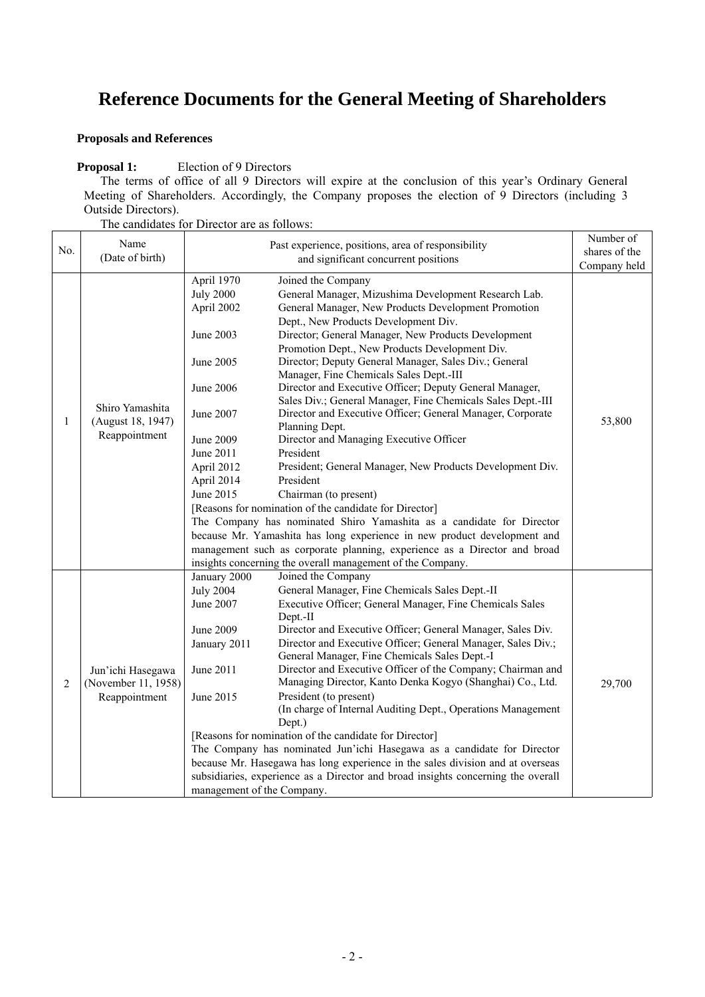# **Reference Documents for the General Meeting of Shareholders**

# **Proposals and References**

 $\Gamma$ 

## **Proposal 1:** Election of 9 Directors

The terms of office of all 9 Directors will expire at the conclusion of this year's Ordinary General Meeting of Shareholders. Accordingly, the Company proposes the election of 9 Directors (including 3 Outside Directors).

The candidates for Director are as follows:

|     |                                                           |                                                                                                                                                                            |                                                                                                                                                                                                                                                                                                                                                                                                                                                                                                                                                                                                                                                                                                                                                                                                                                                                                                                                                                                                                                                                                                                       | Number of     |
|-----|-----------------------------------------------------------|----------------------------------------------------------------------------------------------------------------------------------------------------------------------------|-----------------------------------------------------------------------------------------------------------------------------------------------------------------------------------------------------------------------------------------------------------------------------------------------------------------------------------------------------------------------------------------------------------------------------------------------------------------------------------------------------------------------------------------------------------------------------------------------------------------------------------------------------------------------------------------------------------------------------------------------------------------------------------------------------------------------------------------------------------------------------------------------------------------------------------------------------------------------------------------------------------------------------------------------------------------------------------------------------------------------|---------------|
| No. | Name                                                      | Past experience, positions, area of responsibility<br>and significant concurrent positions                                                                                 |                                                                                                                                                                                                                                                                                                                                                                                                                                                                                                                                                                                                                                                                                                                                                                                                                                                                                                                                                                                                                                                                                                                       | shares of the |
|     | (Date of birth)                                           |                                                                                                                                                                            |                                                                                                                                                                                                                                                                                                                                                                                                                                                                                                                                                                                                                                                                                                                                                                                                                                                                                                                                                                                                                                                                                                                       | Company held  |
| 1   | Shiro Yamashita<br>(August 18, 1947)<br>Reappointment     | April 1970<br><b>July 2000</b><br>April 2002<br>June 2003<br>June 2005<br>June 2006<br>June 2007<br><b>June 2009</b><br>June 2011<br>April 2012<br>April 2014<br>June 2015 | Joined the Company<br>General Manager, Mizushima Development Research Lab.<br>General Manager, New Products Development Promotion<br>Dept., New Products Development Div.<br>Director; General Manager, New Products Development<br>Promotion Dept., New Products Development Div.<br>Director; Deputy General Manager, Sales Div.; General<br>Manager, Fine Chemicals Sales Dept.-III<br>Director and Executive Officer; Deputy General Manager,<br>Sales Div.; General Manager, Fine Chemicals Sales Dept.-III<br>Director and Executive Officer; General Manager, Corporate<br>Planning Dept.<br>Director and Managing Executive Officer<br>President<br>President; General Manager, New Products Development Div.<br>President<br>Chairman (to present)<br>[Reasons for nomination of the candidate for Director]<br>The Company has nominated Shiro Yamashita as a candidate for Director<br>because Mr. Yamashita has long experience in new product development and<br>management such as corporate planning, experience as a Director and broad<br>insights concerning the overall management of the Company. | 53,800        |
| 2   | Jun'ichi Hasegawa<br>(November 11, 1958)<br>Reappointment | January 2000<br><b>July 2004</b><br>June 2007<br><b>June 2009</b><br>January 2011<br>June 2011<br>June 2015<br>management of the Company.                                  | Joined the Company<br>General Manager, Fine Chemicals Sales Dept.-II<br>Executive Officer; General Manager, Fine Chemicals Sales<br>Dept.-II<br>Director and Executive Officer; General Manager, Sales Div.<br>Director and Executive Officer; General Manager, Sales Div.;<br>General Manager, Fine Chemicals Sales Dept.-I<br>Director and Executive Officer of the Company; Chairman and<br>Managing Director, Kanto Denka Kogyo (Shanghai) Co., Ltd.<br>President (to present)<br>(In charge of Internal Auditing Dept., Operations Management<br>Dept.)<br>[Reasons for nomination of the candidate for Director]<br>The Company has nominated Jun'ichi Hasegawa as a candidate for Director<br>because Mr. Hasegawa has long experience in the sales division and at overseas<br>subsidiaries, experience as a Director and broad insights concerning the overall                                                                                                                                                                                                                                               | 29,700        |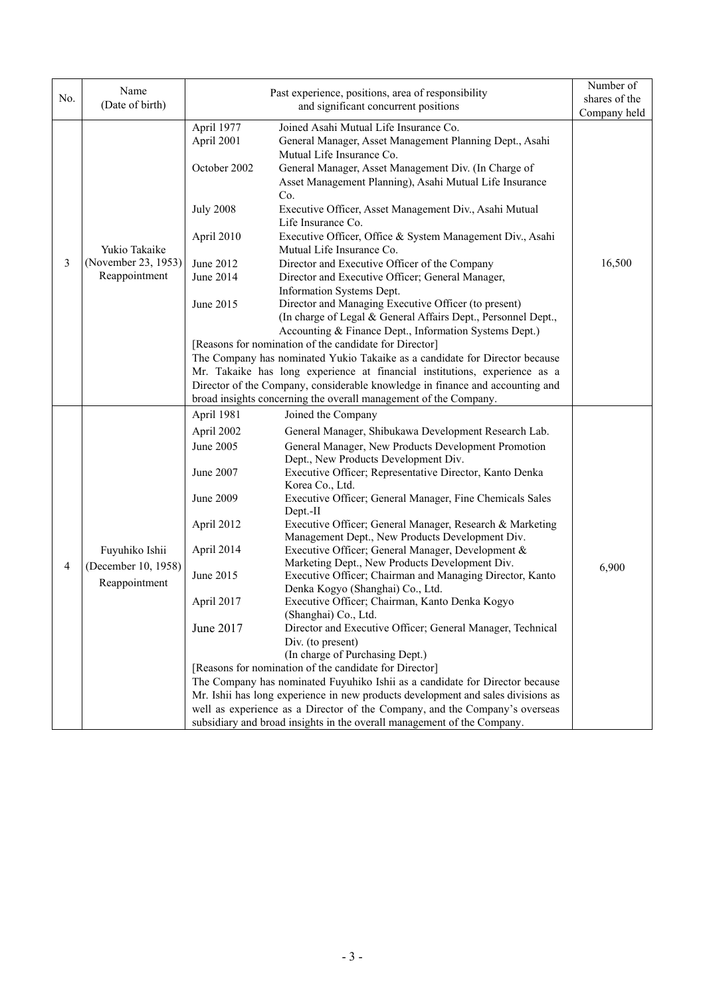| No. | Name                                                   |                  | Past experience, positions, area of responsibility                                                                    | Number of<br>shares of the |
|-----|--------------------------------------------------------|------------------|-----------------------------------------------------------------------------------------------------------------------|----------------------------|
|     | (Date of birth)                                        |                  | and significant concurrent positions                                                                                  | Company held               |
|     |                                                        | April 1977       | Joined Asahi Mutual Life Insurance Co.                                                                                |                            |
|     |                                                        | April 2001       | General Manager, Asset Management Planning Dept., Asahi                                                               |                            |
|     |                                                        |                  | Mutual Life Insurance Co.                                                                                             |                            |
|     |                                                        | October 2002     | General Manager, Asset Management Div. (In Charge of                                                                  |                            |
|     |                                                        |                  | Asset Management Planning), Asahi Mutual Life Insurance                                                               |                            |
|     |                                                        |                  | Co.                                                                                                                   |                            |
|     |                                                        | <b>July 2008</b> | Executive Officer, Asset Management Div., Asahi Mutual                                                                |                            |
|     |                                                        |                  | Life Insurance Co.                                                                                                    |                            |
|     |                                                        | April 2010       | Executive Officer, Office & System Management Div., Asahi                                                             |                            |
|     | Yukio Takaike                                          |                  | Mutual Life Insurance Co.                                                                                             |                            |
| 3   | (November 23, 1953)                                    | June 2012        | Director and Executive Officer of the Company                                                                         | 16,500                     |
|     | Reappointment                                          | June 2014        | Director and Executive Officer; General Manager,                                                                      |                            |
|     |                                                        |                  | Information Systems Dept.                                                                                             |                            |
|     |                                                        | June 2015        | Director and Managing Executive Officer (to present)<br>(In charge of Legal & General Affairs Dept., Personnel Dept., |                            |
|     |                                                        |                  | Accounting & Finance Dept., Information Systems Dept.)                                                                |                            |
|     |                                                        |                  | [Reasons for nomination of the candidate for Director]                                                                |                            |
|     |                                                        |                  | The Company has nominated Yukio Takaike as a candidate for Director because                                           |                            |
|     |                                                        |                  | Mr. Takaike has long experience at financial institutions, experience as a                                            |                            |
|     |                                                        |                  | Director of the Company, considerable knowledge in finance and accounting and                                         |                            |
|     |                                                        |                  | broad insights concerning the overall management of the Company.                                                      |                            |
|     |                                                        | April 1981       | Joined the Company                                                                                                    |                            |
|     | Fuyuhiko Ishii<br>(December 10, 1958)<br>Reappointment | April 2002       | General Manager, Shibukawa Development Research Lab.                                                                  |                            |
|     |                                                        | June 2005        | General Manager, New Products Development Promotion                                                                   |                            |
|     |                                                        |                  | Dept., New Products Development Div.                                                                                  |                            |
|     |                                                        | June 2007        | Executive Officer; Representative Director, Kanto Denka                                                               |                            |
|     |                                                        |                  | Korea Co., Ltd.                                                                                                       |                            |
|     |                                                        | June 2009        | Executive Officer; General Manager, Fine Chemicals Sales<br>Dept.-II                                                  |                            |
|     |                                                        | April 2012       | Executive Officer; General Manager, Research & Marketing                                                              |                            |
|     |                                                        |                  | Management Dept., New Products Development Div.                                                                       |                            |
|     |                                                        | April 2014       | Executive Officer; General Manager, Development &                                                                     |                            |
| 4   |                                                        |                  | Marketing Dept., New Products Development Div.                                                                        | 6,900                      |
|     |                                                        | June 2015        | Executive Officer; Chairman and Managing Director, Kanto                                                              |                            |
|     |                                                        |                  | Denka Kogyo (Shanghai) Co., Ltd.                                                                                      |                            |
|     |                                                        | April 2017       | Executive Officer; Chairman, Kanto Denka Kogyo                                                                        |                            |
|     |                                                        | June 2017        | (Shanghai) Co., Ltd.<br>Director and Executive Officer; General Manager, Technical                                    |                            |
|     |                                                        |                  | Div. (to present)                                                                                                     |                            |
|     |                                                        |                  | (In charge of Purchasing Dept.)                                                                                       |                            |
|     |                                                        |                  | [Reasons for nomination of the candidate for Director]                                                                |                            |
|     |                                                        |                  | The Company has nominated Fuyuhiko Ishii as a candidate for Director because                                          |                            |
|     |                                                        |                  | Mr. Ishii has long experience in new products development and sales divisions as                                      |                            |
|     |                                                        |                  | well as experience as a Director of the Company, and the Company's overseas                                           |                            |
|     |                                                        |                  | subsidiary and broad insights in the overall management of the Company.                                               |                            |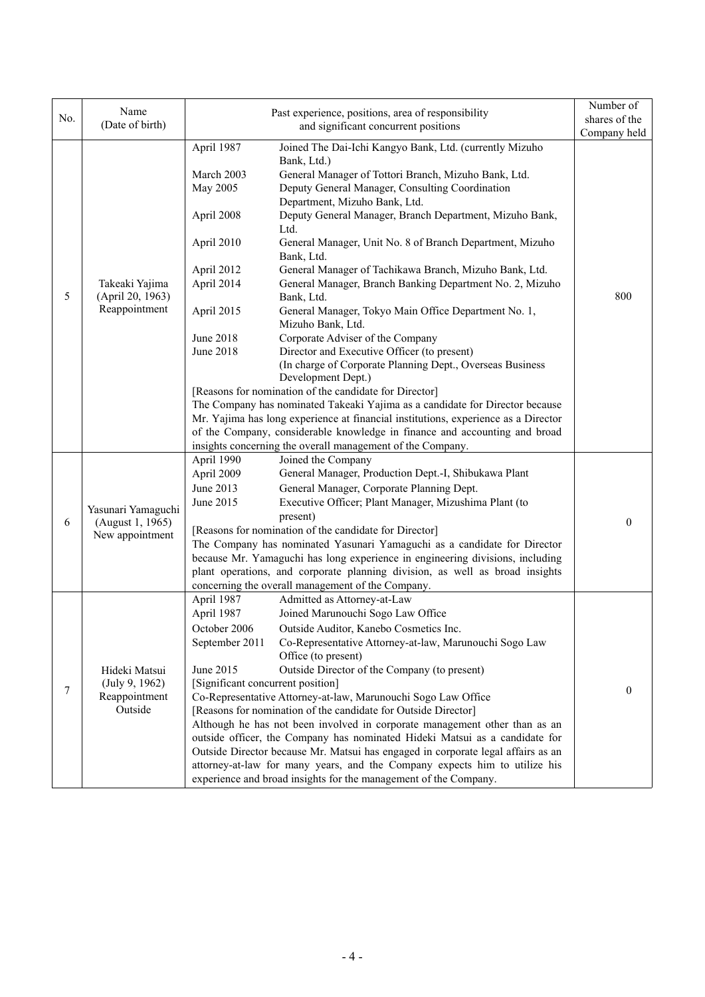|     | Name                                                        | Past experience, positions, area of responsibility                                                                                                                                                                                                                                                                                                                                                                                                                                                                                                                                                                                                                                                                                                                                                                                                                                                                                                                                                                                       | Number of      |
|-----|-------------------------------------------------------------|------------------------------------------------------------------------------------------------------------------------------------------------------------------------------------------------------------------------------------------------------------------------------------------------------------------------------------------------------------------------------------------------------------------------------------------------------------------------------------------------------------------------------------------------------------------------------------------------------------------------------------------------------------------------------------------------------------------------------------------------------------------------------------------------------------------------------------------------------------------------------------------------------------------------------------------------------------------------------------------------------------------------------------------|----------------|
| No. | (Date of birth)                                             | and significant concurrent positions                                                                                                                                                                                                                                                                                                                                                                                                                                                                                                                                                                                                                                                                                                                                                                                                                                                                                                                                                                                                     | shares of the  |
|     |                                                             |                                                                                                                                                                                                                                                                                                                                                                                                                                                                                                                                                                                                                                                                                                                                                                                                                                                                                                                                                                                                                                          | Company held   |
| 5   | Takeaki Yajima<br>(April 20, 1963)<br>Reappointment         | April 1987<br>Joined The Dai-Ichi Kangyo Bank, Ltd. (currently Mizuho<br>Bank, Ltd.)<br>March 2003<br>General Manager of Tottori Branch, Mizuho Bank, Ltd.<br>May 2005<br>Deputy General Manager, Consulting Coordination<br>Department, Mizuho Bank, Ltd.<br>April 2008<br>Deputy General Manager, Branch Department, Mizuho Bank,<br>Ltd.<br>April 2010<br>General Manager, Unit No. 8 of Branch Department, Mizuho<br>Bank, Ltd.<br>April 2012<br>General Manager of Tachikawa Branch, Mizuho Bank, Ltd.<br>April 2014<br>General Manager, Branch Banking Department No. 2, Mizuho<br>Bank, Ltd.<br>General Manager, Tokyo Main Office Department No. 1,<br>April 2015<br>Mizuho Bank, Ltd.<br>Corporate Adviser of the Company<br>June 2018<br>Director and Executive Officer (to present)<br>June 2018<br>(In charge of Corporate Planning Dept., Overseas Business<br>Development Dept.)<br>[Reasons for nomination of the candidate for Director]<br>The Company has nominated Takeaki Yajima as a candidate for Director because | 800            |
|     |                                                             | Mr. Yajima has long experience at financial institutions, experience as a Director<br>of the Company, considerable knowledge in finance and accounting and broad<br>insights concerning the overall management of the Company.<br>April 1990<br>Joined the Company                                                                                                                                                                                                                                                                                                                                                                                                                                                                                                                                                                                                                                                                                                                                                                       |                |
| 6   | Yasunari Yamaguchi<br>(August 1, 1965)<br>New appointment   | General Manager, Production Dept.-I, Shibukawa Plant<br>April 2009<br>June 2013<br>General Manager, Corporate Planning Dept.<br>June 2015<br>Executive Officer; Plant Manager, Mizushima Plant (to<br>present)<br>[Reasons for nomination of the candidate for Director]<br>The Company has nominated Yasunari Yamaguchi as a candidate for Director<br>because Mr. Yamaguchi has long experience in engineering divisions, including<br>plant operations, and corporate planning division, as well as broad insights<br>concerning the overall management of the Company.                                                                                                                                                                                                                                                                                                                                                                                                                                                               | $\theta$       |
| 7   | Hideki Matsui<br>(July 9, 1962)<br>Reappointment<br>Outside | April 1987<br>Admitted as Attorney-at-Law<br>April 1987<br>Joined Marunouchi Sogo Law Office<br>October 2006 Outside Auditor, Kanebo Cosmetics Inc.<br>September 2011<br>Co-Representative Attorney-at-law, Marunouchi Sogo Law<br>Office (to present)<br>June 2015<br>Outside Director of the Company (to present)<br>[Significant concurrent position]<br>Co-Representative Attorney-at-law, Marunouchi Sogo Law Office<br>[Reasons for nomination of the candidate for Outside Director]<br>Although he has not been involved in corporate management other than as an<br>outside officer, the Company has nominated Hideki Matsui as a candidate for<br>Outside Director because Mr. Matsui has engaged in corporate legal affairs as an<br>attorney-at-law for many years, and the Company expects him to utilize his<br>experience and broad insights for the management of the Company.                                                                                                                                           | $\overline{0}$ |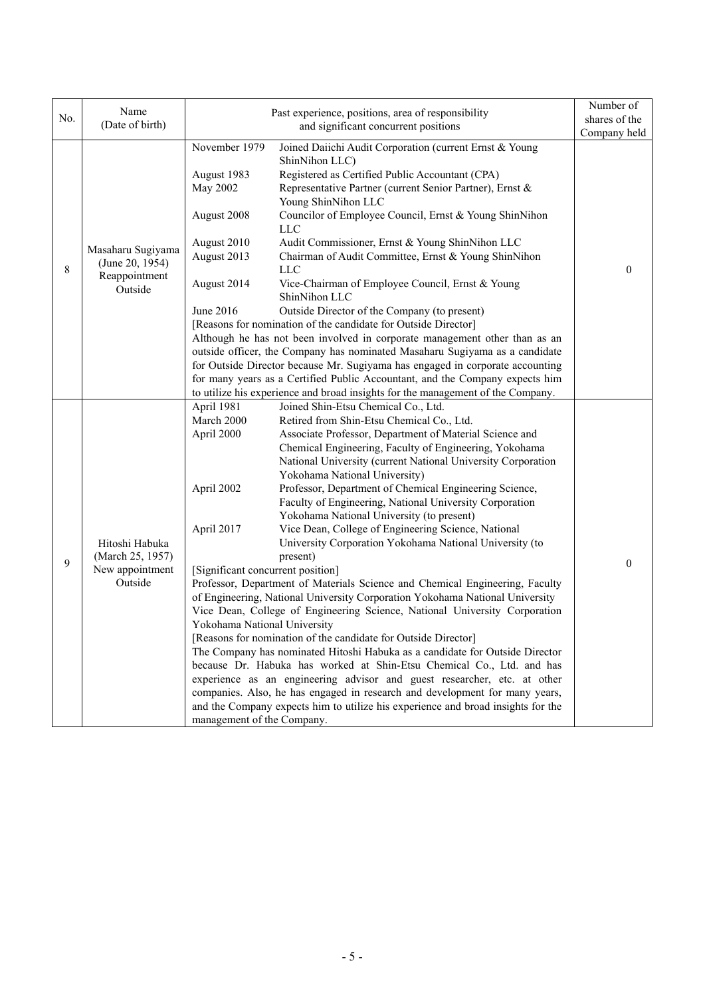|     | Name                                                             | Past experience, positions, area of responsibility                                                                                                                                                                                                                                                                                                                                                                                                                                                                                                                                                                                                                                                                                                                                                                                                                                                                                                                                                                                                                                                                                                                                                                                                                                                                                                                                                                                                                                                      | Number of     |
|-----|------------------------------------------------------------------|---------------------------------------------------------------------------------------------------------------------------------------------------------------------------------------------------------------------------------------------------------------------------------------------------------------------------------------------------------------------------------------------------------------------------------------------------------------------------------------------------------------------------------------------------------------------------------------------------------------------------------------------------------------------------------------------------------------------------------------------------------------------------------------------------------------------------------------------------------------------------------------------------------------------------------------------------------------------------------------------------------------------------------------------------------------------------------------------------------------------------------------------------------------------------------------------------------------------------------------------------------------------------------------------------------------------------------------------------------------------------------------------------------------------------------------------------------------------------------------------------------|---------------|
| No. | (Date of birth)                                                  | and significant concurrent positions                                                                                                                                                                                                                                                                                                                                                                                                                                                                                                                                                                                                                                                                                                                                                                                                                                                                                                                                                                                                                                                                                                                                                                                                                                                                                                                                                                                                                                                                    | shares of the |
|     |                                                                  |                                                                                                                                                                                                                                                                                                                                                                                                                                                                                                                                                                                                                                                                                                                                                                                                                                                                                                                                                                                                                                                                                                                                                                                                                                                                                                                                                                                                                                                                                                         | Company held  |
| 8   | Masaharu Sugiyama<br>(June 20, 1954)<br>Reappointment<br>Outside | November 1979<br>Joined Daiichi Audit Corporation (current Ernst & Young<br>ShinNihon LLC)<br>Registered as Certified Public Accountant (CPA)<br>August 1983<br>May 2002<br>Representative Partner (current Senior Partner), Ernst &<br>Young ShinNihon LLC<br>Councilor of Employee Council, Ernst & Young ShinNihon<br>August 2008<br><b>LLC</b><br>August 2010<br>Audit Commissioner, Ernst & Young ShinNihon LLC<br>August 2013<br>Chairman of Audit Committee, Ernst & Young ShinNihon<br><b>LLC</b><br>August 2014<br>Vice-Chairman of Employee Council, Ernst & Young<br>ShinNihon LLC<br>Outside Director of the Company (to present)<br>June 2016<br>[Reasons for nomination of the candidate for Outside Director]<br>Although he has not been involved in corporate management other than as an<br>outside officer, the Company has nominated Masaharu Sugiyama as a candidate                                                                                                                                                                                                                                                                                                                                                                                                                                                                                                                                                                                                               | $\theta$      |
|     |                                                                  | for Outside Director because Mr. Sugiyama has engaged in corporate accounting<br>for many years as a Certified Public Accountant, and the Company expects him                                                                                                                                                                                                                                                                                                                                                                                                                                                                                                                                                                                                                                                                                                                                                                                                                                                                                                                                                                                                                                                                                                                                                                                                                                                                                                                                           |               |
|     |                                                                  | to utilize his experience and broad insights for the management of the Company.                                                                                                                                                                                                                                                                                                                                                                                                                                                                                                                                                                                                                                                                                                                                                                                                                                                                                                                                                                                                                                                                                                                                                                                                                                                                                                                                                                                                                         |               |
| 9   | Hitoshi Habuka<br>(March 25, 1957)<br>New appointment<br>Outside | April 1981<br>Joined Shin-Etsu Chemical Co., Ltd.<br>March 2000<br>Retired from Shin-Etsu Chemical Co., Ltd.<br>April 2000<br>Associate Professor, Department of Material Science and<br>Chemical Engineering, Faculty of Engineering, Yokohama<br>National University (current National University Corporation<br>Yokohama National University)<br>Professor, Department of Chemical Engineering Science,<br>April 2002<br>Faculty of Engineering, National University Corporation<br>Yokohama National University (to present)<br>Vice Dean, College of Engineering Science, National<br>April 2017<br>University Corporation Yokohama National University (to<br>present)<br>[Significant concurrent position]<br>Professor, Department of Materials Science and Chemical Engineering, Faculty<br>of Engineering, National University Corporation Yokohama National University<br>Vice Dean, College of Engineering Science, National University Corporation<br>Yokohama National University<br>[Reasons for nomination of the candidate for Outside Director]<br>The Company has nominated Hitoshi Habuka as a candidate for Outside Director<br>because Dr. Habuka has worked at Shin-Etsu Chemical Co., Ltd. and has<br>experience as an engineering advisor and guest researcher, etc. at other<br>companies. Also, he has engaged in research and development for many years,<br>and the Company expects him to utilize his experience and broad insights for the<br>management of the Company. | $\mathbf{0}$  |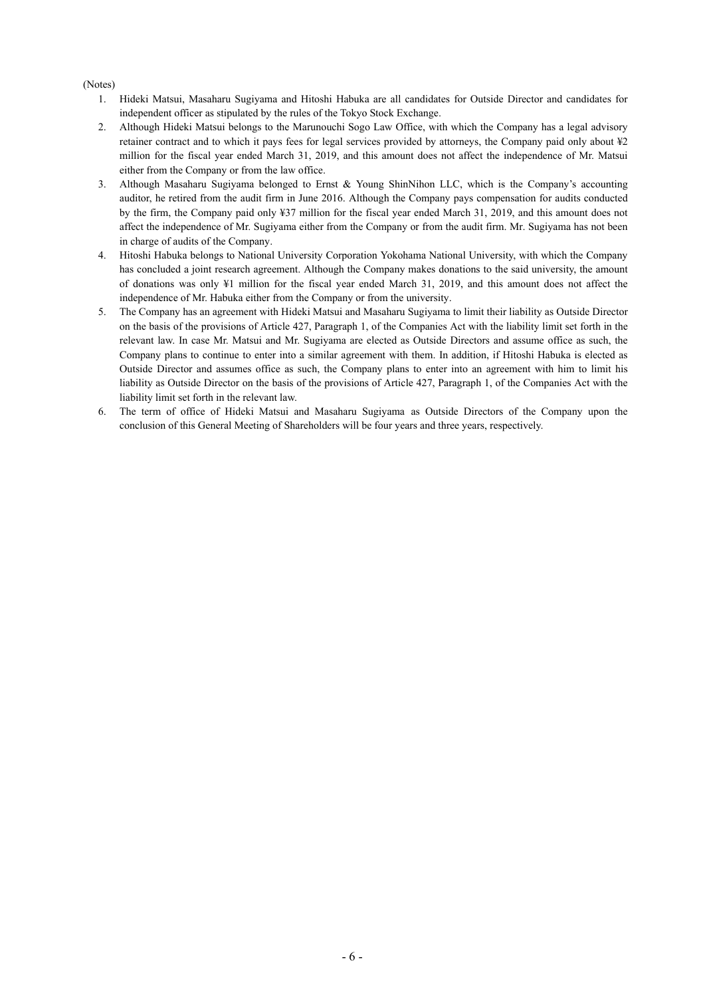## (Notes)

- 1. Hideki Matsui, Masaharu Sugiyama and Hitoshi Habuka are all candidates for Outside Director and candidates for independent officer as stipulated by the rules of the Tokyo Stock Exchange.
- 2. Although Hideki Matsui belongs to the Marunouchi Sogo Law Office, with which the Company has a legal advisory retainer contract and to which it pays fees for legal services provided by attorneys, the Company paid only about ¥2 million for the fiscal year ended March 31, 2019, and this amount does not affect the independence of Mr. Matsui either from the Company or from the law office.
- 3. Although Masaharu Sugiyama belonged to Ernst & Young ShinNihon LLC, which is the Company's accounting auditor, he retired from the audit firm in June 2016. Although the Company pays compensation for audits conducted by the firm, the Company paid only ¥37 million for the fiscal year ended March 31, 2019, and this amount does not affect the independence of Mr. Sugiyama either from the Company or from the audit firm. Mr. Sugiyama has not been in charge of audits of the Company.
- 4. Hitoshi Habuka belongs to National University Corporation Yokohama National University, with which the Company has concluded a joint research agreement. Although the Company makes donations to the said university, the amount of donations was only ¥1 million for the fiscal year ended March 31, 2019, and this amount does not affect the independence of Mr. Habuka either from the Company or from the university.
- 5. The Company has an agreement with Hideki Matsui and Masaharu Sugiyama to limit their liability as Outside Director on the basis of the provisions of Article 427, Paragraph 1, of the Companies Act with the liability limit set forth in the relevant law. In case Mr. Matsui and Mr. Sugiyama are elected as Outside Directors and assume office as such, the Company plans to continue to enter into a similar agreement with them. In addition, if Hitoshi Habuka is elected as Outside Director and assumes office as such, the Company plans to enter into an agreement with him to limit his liability as Outside Director on the basis of the provisions of Article 427, Paragraph 1, of the Companies Act with the liability limit set forth in the relevant law.
- 6. The term of office of Hideki Matsui and Masaharu Sugiyama as Outside Directors of the Company upon the conclusion of this General Meeting of Shareholders will be four years and three years, respectively.